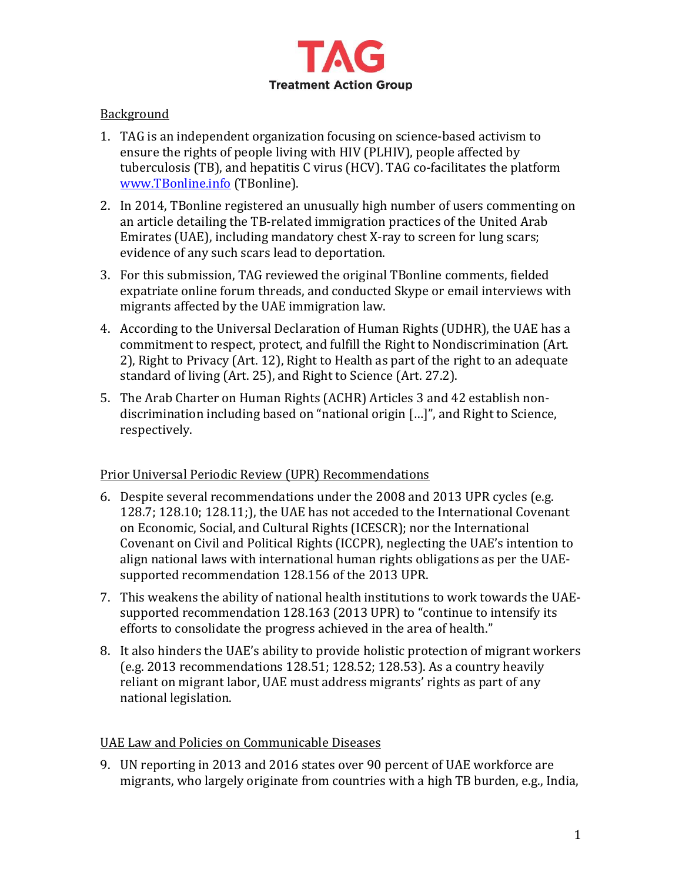

## Background

- 1. TAG is an independent organization focusing on science-based activism to ensure the rights of people living with HIV (PLHIV), people affected by tuberculosis (TB), and hepatitis C virus (HCV). TAG co-facilitates the platform [www.TBonline.info](http://www.tbonline.info/) (TBonline).
- 2. In 2014, TBonline registered an unusually high number of users commenting on an article detailing the TB-related immigration practices of the United Arab Emirates (UAE), including mandatory chest X-ray to screen for lung scars; evidence of any such scars lead to deportation.
- 3. For this submission, TAG reviewed the original TBonline comments, fielded expatriate online forum threads, and conducted Skype or email interviews with migrants affected by the UAE immigration law.
- 4. According to the Universal Declaration of Human Rights (UDHR), the UAE has a commitment to respect, protect, and fulfill the Right to Nondiscrimination (Art. 2), Right to Privacy (Art. 12), Right to Health as part of the right to an adequate standard of living (Art. 25), and Right to Science (Art. 27.2).
- 5. The Arab Charter on Human Rights (ACHR) Articles 3 and 42 establish nondiscrimination including based on "national origin […]", and Right to Science, respectively.

# Prior Universal Periodic Review (UPR) Recommendations

- 6. Despite several recommendations under the 2008 and 2013 UPR cycles (e.g. 128.7; 128.10; 128.11;), the UAE has not acceded to the International Covenant on Economic, Social, and Cultural Rights (ICESCR); nor the International Covenant on Civil and Political Rights (ICCPR), neglecting the UAE's intention to align national laws with international human rights obligations as per the UAEsupported recommendation 128.156 of the 2013 UPR.
- 7. This weakens the ability of national health institutions to work towards the UAEsupported recommendation 128.163 (2013 UPR) to "continue to intensify its efforts to consolidate the progress achieved in the area of health."
- 8. It also hinders the UAE's ability to provide holistic protection of migrant workers (e.g. 2013 recommendations 128.51; 128.52; 128.53). As a country heavily reliant on migrant labor, UAE must address migrants' rights as part of any national legislation.

### UAE Law and Policies on Communicable Diseases

9. UN reporting in 2013 and 2016 states over 90 percent of UAE workforce are migrants, who largely originate from countries with a high TB burden, e.g., India,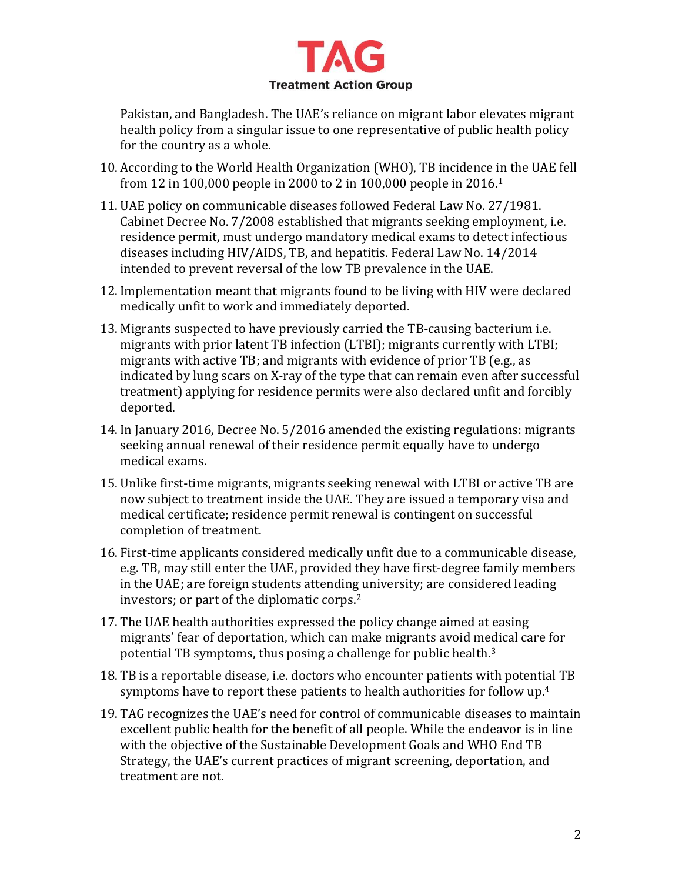

Pakistan, and Bangladesh. The UAE's reliance on migrant labor elevates migrant health policy from a singular issue to one representative of public health policy for the country as a whole.

- 10. According to the World Health Organization (WHO), TB incidence in the UAE fell from 12 in 100,000 people in 2000 to 2 in 100,000 people in 2016.<sup>1</sup>
- 11. UAE policy on communicable diseases followed Federal Law No. 27/1981. Cabinet Decree No. 7/2008 established that migrants seeking employment, i.e. residence permit, must undergo mandatory medical exams to detect infectious diseases including HIV/AIDS, TB, and hepatitis. Federal Law No. 14/2014 intended to prevent reversal of the low TB prevalence in the UAE.
- 12. Implementation meant that migrants found to be living with HIV were declared medically unfit to work and immediately deported.
- 13. Migrants suspected to have previously carried the TB-causing bacterium i.e. migrants with prior latent TB infection (LTBI); migrants currently with LTBI; migrants with active TB; and migrants with evidence of prior TB (e.g., as indicated by lung scars on X-ray of the type that can remain even after successful treatment) applying for residence permits were also declared unfit and forcibly deported.
- 14. In January 2016, Decree No. 5/2016 amended the existing regulations: migrants seeking annual renewal of their residence permit equally have to undergo medical exams.
- 15. Unlike first-time migrants, migrants seeking renewal with LTBI or active TB are now subject to treatment inside the UAE. They are issued a temporary visa and medical certificate; residence permit renewal is contingent on successful completion of treatment.
- 16. First-time applicants considered medically unfit due to a communicable disease, e.g. TB, may still enter the UAE, provided they have first-degree family members in the UAE; are foreign students attending university; are considered leading investors; or part of the diplomatic corps.<sup>2</sup>
- 17. The UAE health authorities expressed the policy change aimed at easing migrants' fear of deportation, which can make migrants avoid medical care for potential TB symptoms, thus posing a challenge for public health.<sup>3</sup>
- 18. TB is a reportable disease, i.e. doctors who encounter patients with potential TB symptoms have to report these patients to health authorities for follow up.<sup>4</sup>
- 19. TAG recognizes the UAE's need for control of communicable diseases to maintain excellent public health for the benefit of all people. While the endeavor is in line with the objective of the Sustainable Development Goals and WHO End TB Strategy, the UAE's current practices of migrant screening, deportation, and treatment are not.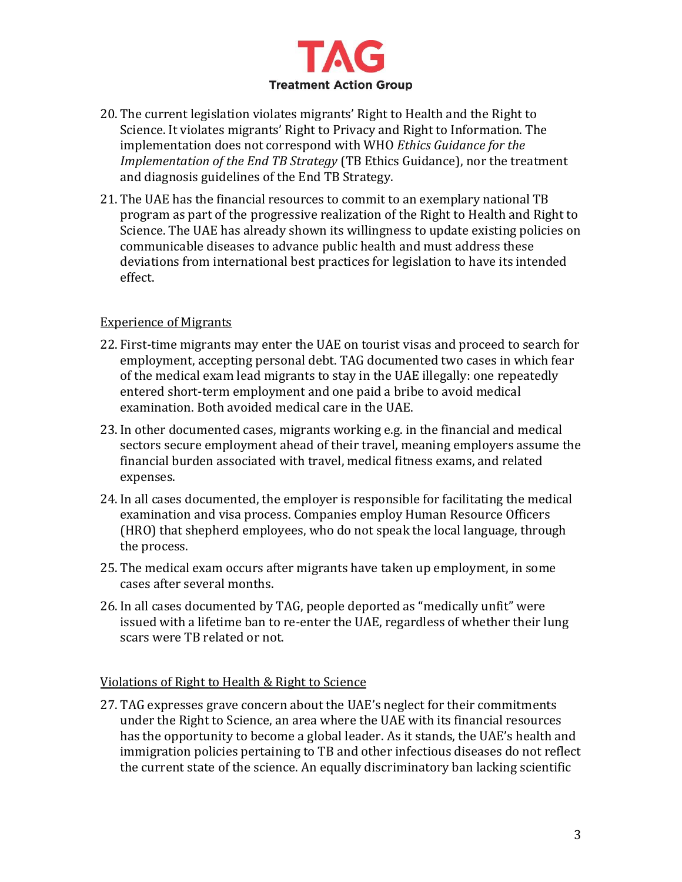

- 20. The current legislation violates migrants' Right to Health and the Right to Science. It violates migrants' Right to Privacy and Right to Information. The implementation does not correspond with WHO *Ethics Guidance for the Implementation of the End TB Strategy* (TB Ethics Guidance), nor the treatment and diagnosis guidelines of the End TB Strategy.
- 21. The UAE has the financial resources to commit to an exemplary national TB program as part of the progressive realization of the Right to Health and Right to Science. The UAE has already shown its willingness to update existing policies on communicable diseases to advance public health and must address these deviations from international best practices for legislation to have its intended effect.

### Experience of Migrants

- 22. First-time migrants may enter the UAE on tourist visas and proceed to search for employment, accepting personal debt. TAG documented two cases in which fear of the medical exam lead migrants to stay in the UAE illegally: one repeatedly entered short-term employment and one paid a bribe to avoid medical examination. Both avoided medical care in the UAE.
- 23. In other documented cases, migrants working e.g. in the financial and medical sectors secure employment ahead of their travel, meaning employers assume the financial burden associated with travel, medical fitness exams, and related expenses.
- 24. In all cases documented, the employer is responsible for facilitating the medical examination and visa process. Companies employ Human Resource Officers (HRO) that shepherd employees, who do not speak the local language, through the process.
- 25. The medical exam occurs after migrants have taken up employment, in some cases after several months.
- 26. In all cases documented by TAG, people deported as "medically unfit" were issued with a lifetime ban to re-enter the UAE, regardless of whether their lung scars were TB related or not.

### Violations of Right to Health & Right to Science

27. TAG expresses grave concern about the UAE's neglect for their commitments under the Right to Science, an area where the UAE with its financial resources has the opportunity to become a global leader. As it stands, the UAE's health and immigration policies pertaining to TB and other infectious diseases do not reflect the current state of the science. An equally discriminatory ban lacking scientific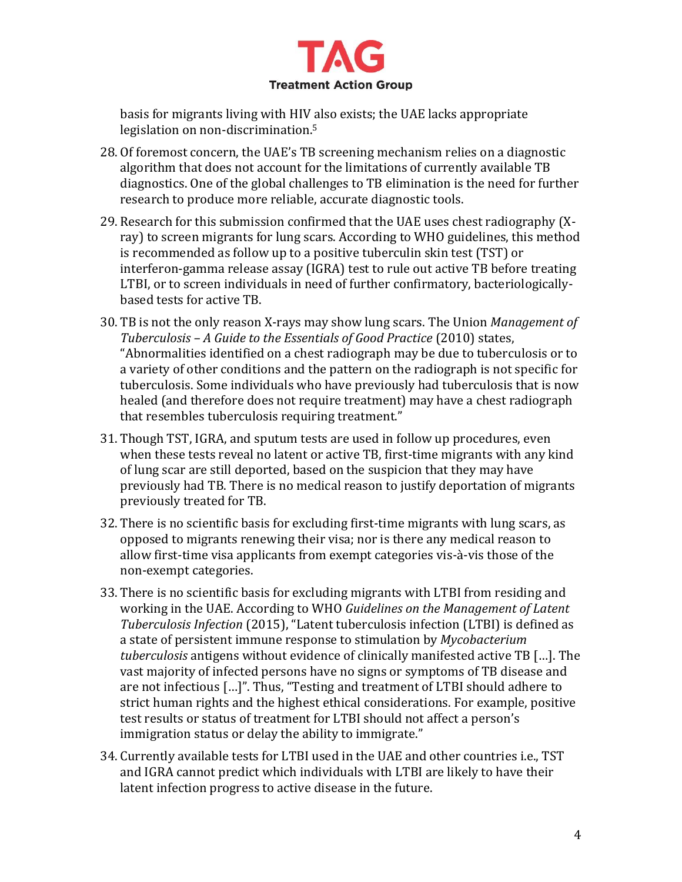

basis for migrants living with HIV also exists; the UAE lacks appropriate legislation on non-discrimination.<sup>5</sup>

- 28. Of foremost concern, the UAE's TB screening mechanism relies on a diagnostic algorithm that does not account for the limitations of currently available TB diagnostics. One of the global challenges to TB elimination is the need for further research to produce more reliable, accurate diagnostic tools.
- 29. Research for this submission confirmed that the UAE uses chest radiography (Xray) to screen migrants for lung scars. According to WHO guidelines, this method is recommended as follow up to a positive tuberculin skin test (TST) or interferon-gamma release assay (IGRA) test to rule out active TB before treating LTBI, or to screen individuals in need of further confirmatory, bacteriologicallybased tests for active TB.
- 30. TB is not the only reason X-rays may show lung scars. The Union *Management of Tuberculosis – A Guide to the Essentials of Good Practice* (2010) states, "Abnormalities identified on a chest radiograph may be due to tuberculosis or to a variety of other conditions and the pattern on the radiograph is not specific for tuberculosis. Some individuals who have previously had tuberculosis that is now healed (and therefore does not require treatment) may have a chest radiograph that resembles tuberculosis requiring treatment."
- 31. Though TST, IGRA, and sputum tests are used in follow up procedures, even when these tests reveal no latent or active TB, first-time migrants with any kind of lung scar are still deported, based on the suspicion that they may have previously had TB. There is no medical reason to justify deportation of migrants previously treated for TB.
- 32. There is no scientific basis for excluding first-time migrants with lung scars, as opposed to migrants renewing their visa; nor is there any medical reason to allow first-time visa applicants from exempt categories vis-à-vis those of the non-exempt categories.
- 33. There is no scientific basis for excluding migrants with LTBI from residing and working in the UAE. According to WHO *Guidelines on the Management of Latent Tuberculosis Infection* (2015), "Latent tuberculosis infection (LTBI) is defined as a state of persistent immune response to stimulation by *Mycobacterium tuberculosis* antigens without evidence of clinically manifested active TB […]. The vast majority of infected persons have no signs or symptoms of TB disease and are not infectious […]". Thus, "Testing and treatment of LTBI should adhere to strict human rights and the highest ethical considerations. For example, positive test results or status of treatment for LTBI should not affect a person's immigration status or delay the ability to immigrate."
- 34. Currently available tests for LTBI used in the UAE and other countries i.e., TST and IGRA cannot predict which individuals with LTBI are likely to have their latent infection progress to active disease in the future.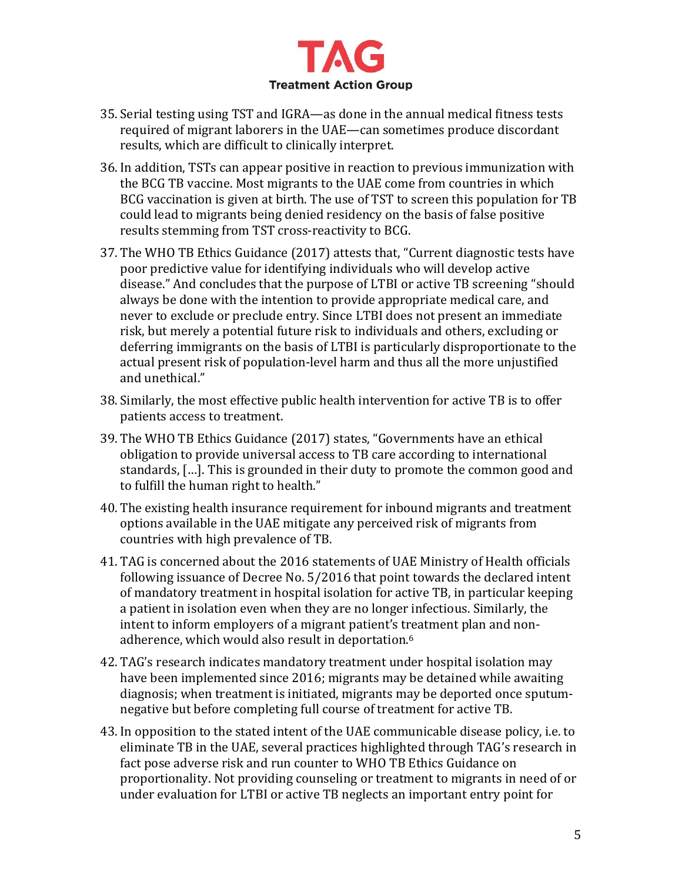

- 35. Serial testing using TST and IGRA—as done in the annual medical fitness tests required of migrant laborers in the UAE—can sometimes produce discordant results, which are difficult to clinically interpret.
- 36. In addition, TSTs can appear positive in reaction to previous immunization with the BCG TB vaccine. Most migrants to the UAE come from countries in which BCG vaccination is given at birth. The use of TST to screen this population for TB could lead to migrants being denied residency on the basis of false positive results stemming from TST cross-reactivity to BCG.
- 37. The WHO TB Ethics Guidance (2017) attests that, "Current diagnostic tests have poor predictive value for identifying individuals who will develop active disease." And concludes that the purpose of LTBI or active TB screening "should always be done with the intention to provide appropriate medical care, and never to exclude or preclude entry. Since LTBI does not present an immediate risk, but merely a potential future risk to individuals and others, excluding or deferring immigrants on the basis of LTBI is particularly disproportionate to the actual present risk of population-level harm and thus all the more unjustified and unethical."
- 38. Similarly, the most effective public health intervention for active TB is to offer patients access to treatment.
- 39. The WHO TB Ethics Guidance (2017) states, "Governments have an ethical obligation to provide universal access to TB care according to international standards, […]. This is grounded in their duty to promote the common good and to fulfill the human right to health."
- 40. The existing health insurance requirement for inbound migrants and treatment options available in the UAE mitigate any perceived risk of migrants from countries with high prevalence of TB.
- 41. TAG is concerned about the 2016 statements of UAE Ministry of Health officials following issuance of Decree No. 5/2016 that point towards the declared intent of mandatory treatment in hospital isolation for active TB, in particular keeping a patient in isolation even when they are no longer infectious. Similarly, the intent to inform employers of a migrant patient's treatment plan and nonadherence, which would also result in deportation.<sup>6</sup>
- 42. TAG's research indicates mandatory treatment under hospital isolation may have been implemented since 2016; migrants may be detained while awaiting diagnosis; when treatment is initiated, migrants may be deported once sputumnegative but before completing full course of treatment for active TB.
- 43. In opposition to the stated intent of the UAE communicable disease policy, i.e. to eliminate TB in the UAE, several practices highlighted through TAG's research in fact pose adverse risk and run counter to WHO TB Ethics Guidance on proportionality. Not providing counseling or treatment to migrants in need of or under evaluation for LTBI or active TB neglects an important entry point for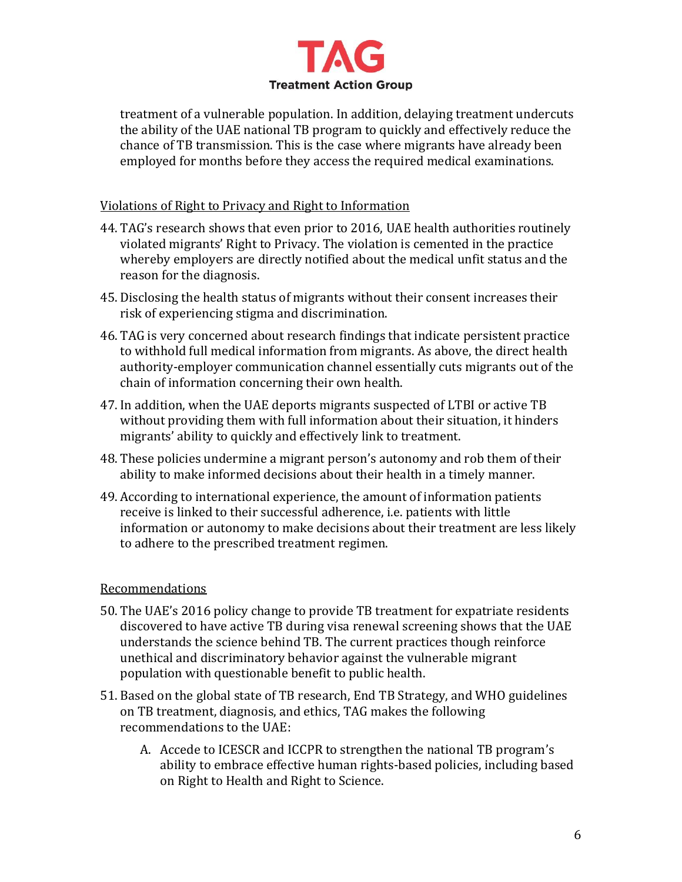

treatment of a vulnerable population. In addition, delaying treatment undercuts the ability of the UAE national TB program to quickly and effectively reduce the chance of TB transmission. This is the case where migrants have already been employed for months before they access the required medical examinations.

### Violations of Right to Privacy and Right to Information

- 44. TAG's research shows that even prior to 2016, UAE health authorities routinely violated migrants' Right to Privacy. The violation is cemented in the practice whereby employers are directly notified about the medical unfit status and the reason for the diagnosis.
- 45. Disclosing the health status of migrants without their consent increases their risk of experiencing stigma and discrimination.
- 46. TAG is very concerned about research findings that indicate persistent practice to withhold full medical information from migrants. As above, the direct health authority-employer communication channel essentially cuts migrants out of the chain of information concerning their own health.
- 47. In addition, when the UAE deports migrants suspected of LTBI or active TB without providing them with full information about their situation, it hinders migrants' ability to quickly and effectively link to treatment.
- 48. These policies undermine a migrant person's autonomy and rob them of their ability to make informed decisions about their health in a timely manner.
- 49. According to international experience, the amount of information patients receive is linked to their successful adherence, i.e. patients with little information or autonomy to make decisions about their treatment are less likely to adhere to the prescribed treatment regimen.

### **Recommendations**

- 50. The UAE's 2016 policy change to provide TB treatment for expatriate residents discovered to have active TB during visa renewal screening shows that the UAE understands the science behind TB. The current practices though reinforce unethical and discriminatory behavior against the vulnerable migrant population with questionable benefit to public health.
- 51. Based on the global state of TB research, End TB Strategy, and WHO guidelines on TB treatment, diagnosis, and ethics, TAG makes the following recommendations to the UAE:
	- A. Accede to ICESCR and ICCPR to strengthen the national TB program's ability to embrace effective human rights-based policies, including based on Right to Health and Right to Science.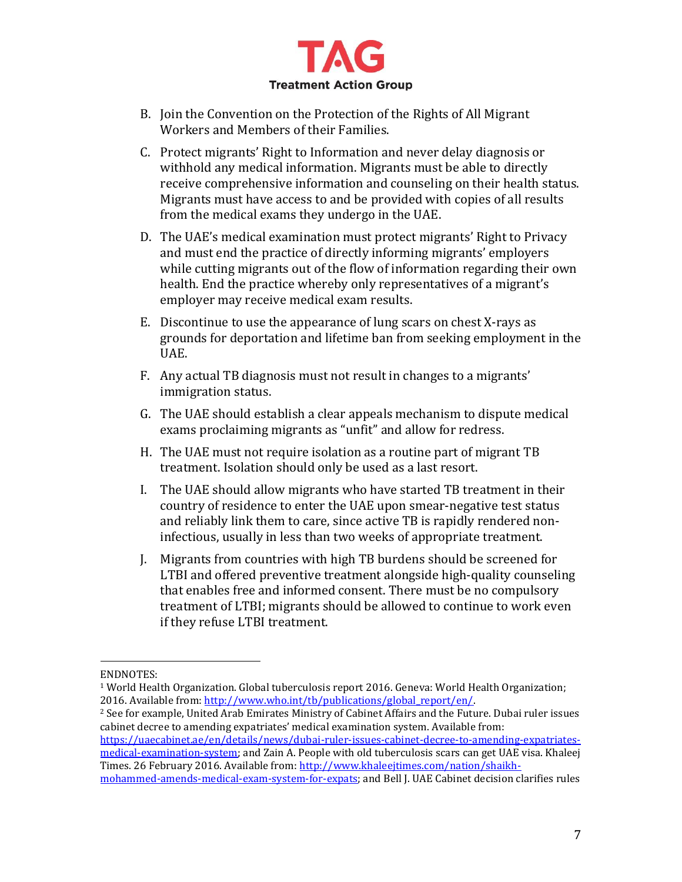

- B. Join the Convention on the Protection of the Rights of All Migrant Workers and Members of their Families.
- C. Protect migrants' Right to Information and never delay diagnosis or withhold any medical information. Migrants must be able to directly receive comprehensive information and counseling on their health status. Migrants must have access to and be provided with copies of all results from the medical exams they undergo in the UAE.
- D. The UAE's medical examination must protect migrants' Right to Privacy and must end the practice of directly informing migrants' employers while cutting migrants out of the flow of information regarding their own health. End the practice whereby only representatives of a migrant's employer may receive medical exam results.
- E. Discontinue to use the appearance of lung scars on chest X-rays as grounds for deportation and lifetime ban from seeking employment in the UAE.
- F. Any actual TB diagnosis must not result in changes to a migrants' immigration status.
- G. The UAE should establish a clear appeals mechanism to dispute medical exams proclaiming migrants as "unfit" and allow for redress.
- H. The UAE must not require isolation as a routine part of migrant TB treatment. Isolation should only be used as a last resort.
- I. The UAE should allow migrants who have started TB treatment in their country of residence to enter the UAE upon smear-negative test status and reliably link them to care, since active TB is rapidly rendered noninfectious, usually in less than two weeks of appropriate treatment.
- J. Migrants from countries with high TB burdens should be screened for LTBI and offered preventive treatment alongside high-quality counseling that enables free and informed consent. There must be no compulsory treatment of LTBI; migrants should be allowed to continue to work even if they refuse LTBI treatment.

l

[https://uaecabinet.ae/en/details/news/dubai-ruler-issues-cabinet-decree-to-amending-expatriates](https://uaecabinet.ae/en/details/news/dubai-ruler-issues-cabinet-decree-to-amending-expatriates-medical-examination-system)[medical-examination-system;](https://uaecabinet.ae/en/details/news/dubai-ruler-issues-cabinet-decree-to-amending-expatriates-medical-examination-system) and Zain A. People with old tuberculosis scars can get UAE visa. Khaleej Times. 26 February 2016. Available from: [http://www.khaleejtimes.com/nation/shaikh-](http://www.khaleejtimes.com/nation/shaikh-mohammed-amends-medical-exam-system-for-expats)

ENDNOTES:

<sup>1</sup> World Health Organization. Global tuberculosis report 2016. Geneva: World Health Organization; 2016. Available from: [http://www.who.int/tb/publications/global\\_report/en/.](http://www.who.int/tb/publications/global_report/en/)

<sup>2</sup> See for example, United Arab Emirates Ministry of Cabinet Affairs and the Future. Dubai ruler issues cabinet decree to amending expatriates' medical examination system. Available from:

[mohammed-amends-medical-exam-system-for-expats;](http://www.khaleejtimes.com/nation/shaikh-mohammed-amends-medical-exam-system-for-expats) and Bell J. UAE Cabinet decision clarifies rules